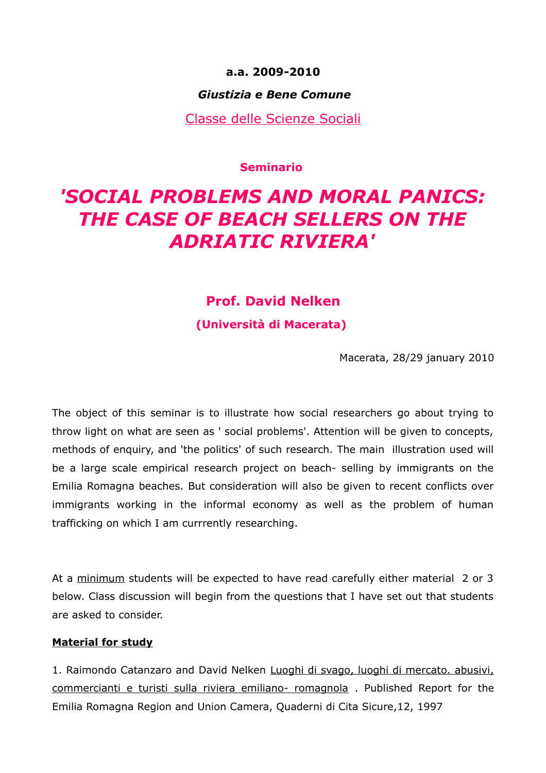# **a.a. 2009-2010**

# *Giustizia e Bene Comune*

Classe delle Scienze Sociali

**Seminario** 

# *'SOCIAL PROBLEMS AND MORAL PANICS: THE CASE OF BEACH SELLERS ON THE ADRIATIC RIVIERA'*

# **Prof. David Nelken**

**(Università di Macerata)** 

Macerata, 28/29 january 2010

The object of this seminar is to illustrate how social researchers go about trying to throw light on what are seen as ' social problems'. Attention will be given to concepts, methods of enquiry, and 'the politics' of such research. The main illustration used will be a large scale empirical research project on beach- selling by immigrants on the Emilia Romagna beaches. But consideration will also be given to recent conflicts over immigrants working in the informal economy as well as the problem of human trafficking on which I am currrently researching.

At a minimum students will be expected to have read carefully either material 2 or 3 below. Class discussion will begin from the questions that I have set out that students are asked to consider.

#### **Material for study**

1. Raimondo Catanzaro and David Nelken Luoghi di svago, luoghi di mercato. abusivi, commercianti e turisti sulla riviera emiliano- romagnola . Published Report for the Emilia Romagna Region and Union Camera, Quaderni di Cita Sicure,12, 1997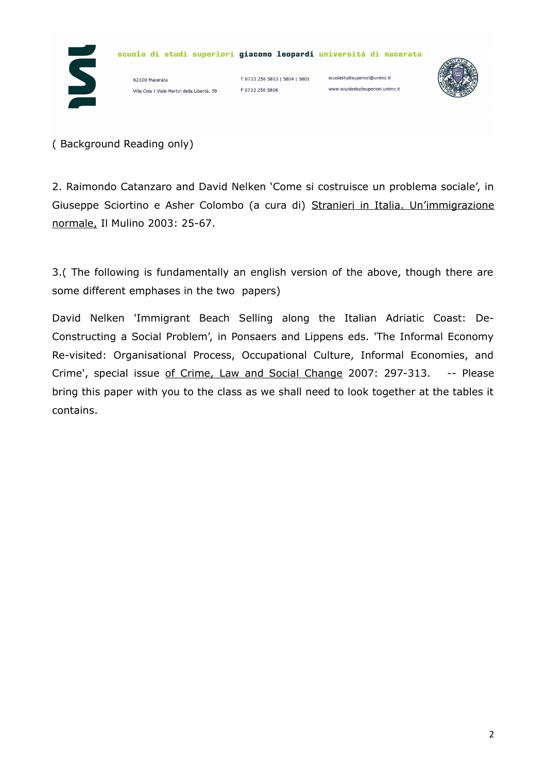



( Background Reading only)

2. Raimondo Catanzaro and David Nelken 'Come si costruisce un problema sociale', in Giuseppe Sciortino e Asher Colombo (a cura di) Stranieri in Italia. Un'immigrazione normale, Il Mulino 2003: 25-67.

3.( The following is fundamentally an english version of the above, though there are some different emphases in the two papers)

David Nelken 'Immigrant Beach Selling along the Italian Adriatic Coast: De-Constructing a Social Problem', in Ponsaers and Lippens eds. 'The Informal Economy Re-visited: Organisational Process, Occupational Culture, Informal Economies, and Crime', special issue of Crime, Law and Social Change 2007: 297-313. -- Please bring this paper with you to the class as we shall need to look together at the tables it contains.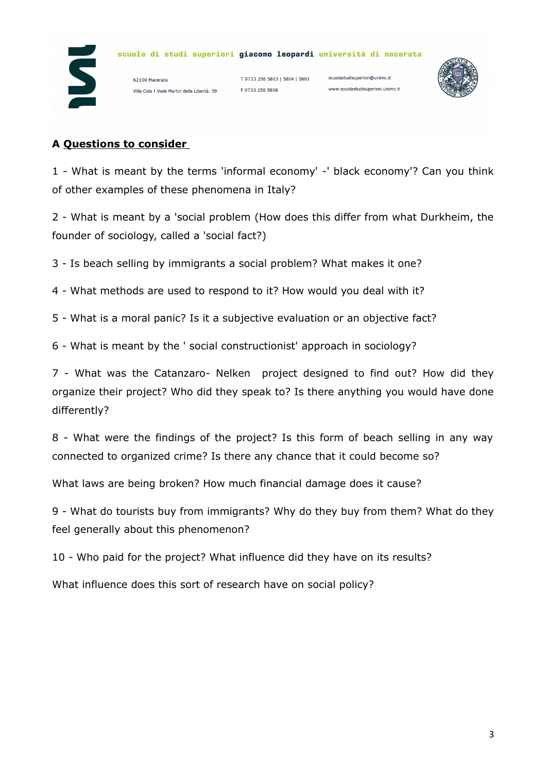

62100 Macerata Villa Cola | Viale Martiri della Libertà, 59

T 0733 258 5803 | 5804 | 5801 F 0733 258 5808

scuolastudisuperiori@unimc.it www.scuolastudisuperiori.unimc.it



#### **A Questions to consider**

1 - What is meant by the terms 'informal economy' -' black economy'? Can you think of other examples of these phenomena in Italy?

2 - What is meant by a 'social problem (How does this differ from what Durkheim, the founder of sociology, called a 'social fact?)

3 - Is beach selling by immigrants a social problem? What makes it one?

4 - What methods are used to respond to it? How would you deal with it?

5 - What is a moral panic? Is it a subjective evaluation or an objective fact?

6 - What is meant by the ' social constructionist' approach in sociology?

7 - What was the Catanzaro- Nelken project designed to find out? How did they organize their project? Who did they speak to? Is there anything you would have done differently?

8 - What were the findings of the project? Is this form of beach selling in any way connected to organized crime? Is there any chance that it could become so?

What laws are being broken? How much financial damage does it cause?

9 - What do tourists buy from immigrants? Why do they buy from them? What do they feel generally about this phenomenon?

10 - Who paid for the project? What influence did they have on its results?

What influence does this sort of research have on social policy?